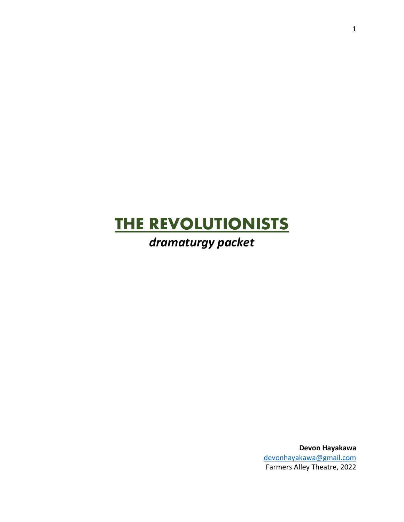# **THE REVOLUTIONISTS**

## *dramaturgy packet*

**Devon Hayakawa** [devonhayakawa@gmail.com](mailto:devonhayakawa@gmail.com) Farmers Alley Theatre, 2022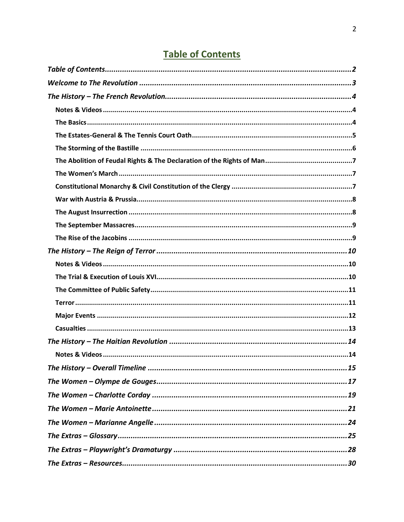## **Table of Contents**

<span id="page-1-0"></span>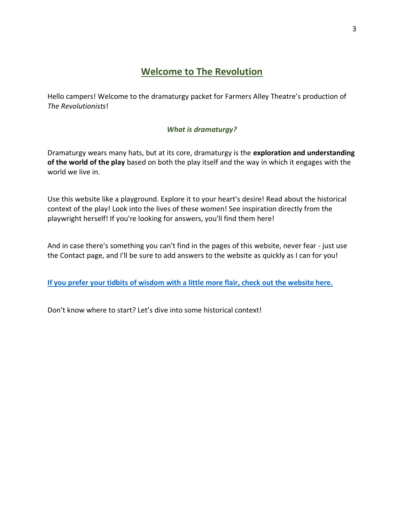## **Welcome to The Revolution**

<span id="page-2-0"></span>Hello campers! Welcome to the dramaturgy packet for Farmers Alley Theatre's production of *The Revolutionists*!

#### *What is dramaturgy?*

Dramaturgy wears many hats, but at its core, dramaturgy is the **exploration and understanding of the world of the play** based on both the play itself and the way in which it engages with the world we live in.

Use this website like a playground. Explore it to your heart's desire! Read about the historical context of the play! Look into the lives of these women! See inspiration directly from the playwright herself! If you're looking for answers, you'll find them here!

And in case there's something you can't find in the pages of this website, never fear - just use the Contact page, and I'll be sure to add answers to the website as quickly as I can for you!

**[If you prefer your tidbits of wisdom with a little more flair, check out the website here.](https://devonhayakawa.wixsite.com/therevolutionists)**

Don't know where to start? Let's dive into some historical context!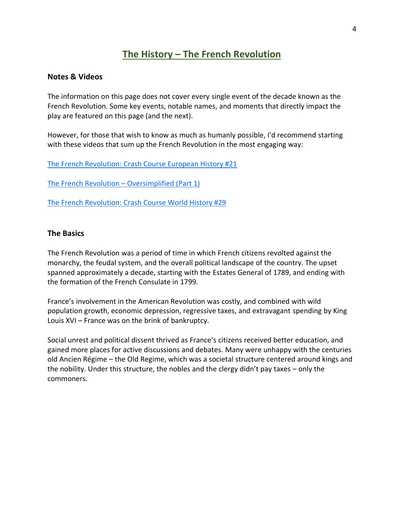## **The History – The French Revolution**

#### <span id="page-3-1"></span><span id="page-3-0"></span>**Notes & Videos**

The information on this page does not cover every single event of the decade known as the French Revolution. Some key events, notable names, and moments that directly impact the play are featured on this page (and the next).

However, for those that wish to know as much as humanly possible, I'd recommend starting with these videos that sum up the French Revolution in the most engaging way:

[The French Revolution: Crash Course European History #21](https://www.youtube.com/watch?v=5fJl_ZX91l0)

[The French Revolution](https://www.youtube.com/watch?v=8qRZcXIODNU&t=103s) – Oversimplified (Part 1)

[The French Revolution: Crash Course World History #29](https://www.youtube.com/watch?v=lTTvKwCylFY&t=203shttps://www.youtube.com/watch?v=5fJl_ZX91l0)

#### <span id="page-3-2"></span>**The Basics**

The French Revolution was a period of time in which French citizens revolted against the monarchy, the feudal system, and the overall political landscape of the country. The upset spanned approximately a decade, starting with the Estates General of 1789, and ending with the formation of the French Consulate in 1799.

France's involvement in the American Revolution was costly, and combined with wild population growth, economic depression, regressive taxes, and extravagant spending by King Louis XVI – France was on the brink of bankruptcy.

Social unrest and political dissent thrived as France's citizens received better education, and gained more places for active discussions and debates. Many were unhappy with the centuries old Ancien Régime – the Old Regime, which was a societal structure centered around kings and the nobility. Under this structure, the nobles and the clergy didn't pay taxes – only the commoners.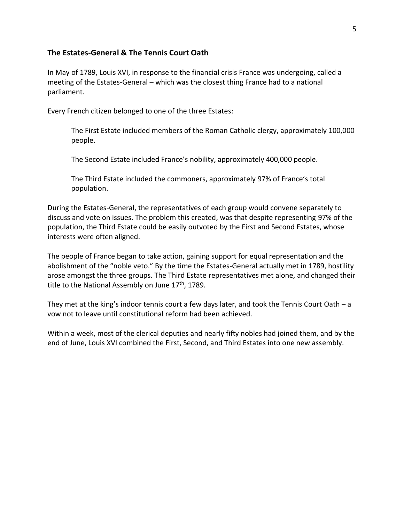#### <span id="page-4-0"></span>**The Estates-General & The Tennis Court Oath**

In May of 1789, Louis XVI, in response to the financial crisis France was undergoing, called a meeting of the Estates-General – which was the closest thing France had to a national parliament.

Every French citizen belonged to one of the three Estates:

The First Estate included members of the Roman Catholic clergy, approximately 100,000 people.

The Second Estate included France's nobility, approximately 400,000 people.

The Third Estate included the commoners, approximately 97% of France's total population.

During the Estates-General, the representatives of each group would convene separately to discuss and vote on issues. The problem this created, was that despite representing 97% of the population, the Third Estate could be easily outvoted by the First and Second Estates, whose interests were often aligned.

The people of France began to take action, gaining support for equal representation and the abolishment of the "noble veto." By the time the Estates-General actually met in 1789, hostility arose amongst the three groups. The Third Estate representatives met alone, and changed their title to the National Assembly on June 17<sup>th</sup>, 1789.

They met at the king's indoor tennis court a few days later, and took the Tennis Court Oath – a vow not to leave until constitutional reform had been achieved.

Within a week, most of the clerical deputies and nearly fifty nobles had joined them, and by the end of June, Louis XVI combined the First, Second, and Third Estates into one new assembly.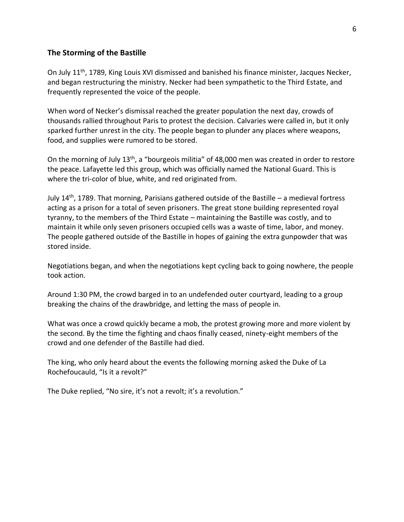#### <span id="page-5-0"></span>**The Storming of the Bastille**

On July 11<sup>th</sup>, 1789, King Louis XVI dismissed and banished his finance minister, Jacques Necker, and began restructuring the ministry. Necker had been sympathetic to the Third Estate, and frequently represented the voice of the people.

When word of Necker's dismissal reached the greater population the next day, crowds of thousands rallied throughout Paris to protest the decision. Calvaries were called in, but it only sparked further unrest in the city. The people began to plunder any places where weapons, food, and supplies were rumored to be stored.

On the morning of July 13<sup>th</sup>, a "bourgeois militia" of 48,000 men was created in order to restore the peace. Lafayette led this group, which was officially named the National Guard. This is where the tri-color of blue, white, and red originated from.

July  $14<sup>th</sup>$ , 1789. That morning, Parisians gathered outside of the Bastille – a medieval fortress acting as a prison for a total of seven prisoners. The great stone building represented royal tyranny, to the members of the Third Estate – maintaining the Bastille was costly, and to maintain it while only seven prisoners occupied cells was a waste of time, labor, and money. The people gathered outside of the Bastille in hopes of gaining the extra gunpowder that was stored inside.

Negotiations began, and when the negotiations kept cycling back to going nowhere, the people took action.

Around 1:30 PM, the crowd barged in to an undefended outer courtyard, leading to a group breaking the chains of the drawbridge, and letting the mass of people in.

What was once a crowd quickly became a mob, the protest growing more and more violent by the second. By the time the fighting and chaos finally ceased, ninety-eight members of the crowd and one defender of the Bastille had died.

The king, who only heard about the events the following morning asked the Duke of La Rochefoucauld, "Is it a revolt?"

The Duke replied, "No sire, it's not a revolt; it's a revolution."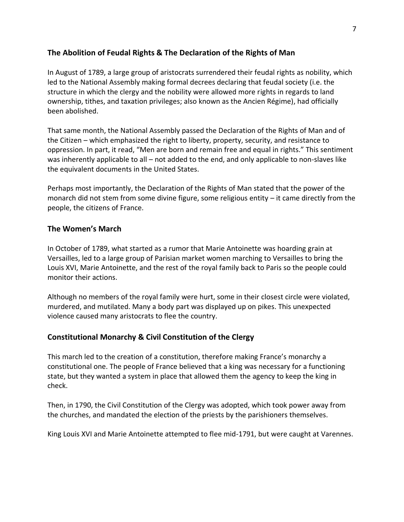#### <span id="page-6-0"></span>**The Abolition of Feudal Rights & The Declaration of the Rights of Man**

In August of 1789, a large group of aristocrats surrendered their feudal rights as nobility, which led to the National Assembly making formal decrees declaring that feudal society (i.e. the structure in which the clergy and the nobility were allowed more rights in regards to land ownership, tithes, and taxation privileges; also known as the Ancien Régime), had officially been abolished.

That same month, the National Assembly passed the Declaration of the Rights of Man and of the Citizen – which emphasized the right to liberty, property, security, and resistance to oppression. In part, it read, "Men are born and remain free and equal in rights." This sentiment was inherently applicable to all – not added to the end, and only applicable to non-slaves like the equivalent documents in the United States.

Perhaps most importantly, the Declaration of the Rights of Man stated that the power of the monarch did not stem from some divine figure, some religious entity – it came directly from the people, the citizens of France.

#### <span id="page-6-1"></span>**The Women's March**

In October of 1789, what started as a rumor that Marie Antoinette was hoarding grain at Versailles, led to a large group of Parisian market women marching to Versailles to bring the Louis XVI, Marie Antoinette, and the rest of the royal family back to Paris so the people could monitor their actions.

Although no members of the royal family were hurt, some in their closest circle were violated, murdered, and mutilated. Many a body part was displayed up on pikes. This unexpected violence caused many aristocrats to flee the country.

#### <span id="page-6-2"></span>**Constitutional Monarchy & Civil Constitution of the Clergy**

This march led to the creation of a constitution, therefore making France's monarchy a constitutional one. The people of France believed that a king was necessary for a functioning state, but they wanted a system in place that allowed them the agency to keep the king in check.

Then, in 1790, the Civil Constitution of the Clergy was adopted, which took power away from the churches, and mandated the election of the priests by the parishioners themselves.

King Louis XVI and Marie Antoinette attempted to flee mid-1791, but were caught at Varennes.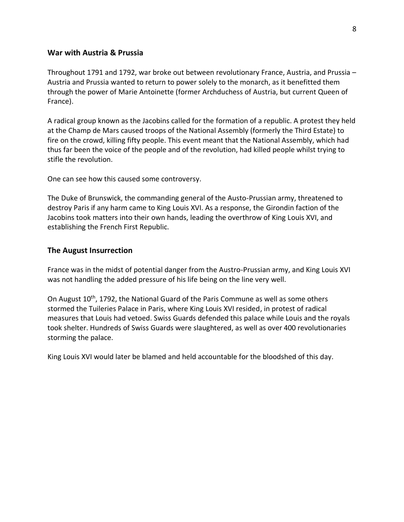#### <span id="page-7-0"></span>**War with Austria & Prussia**

Throughout 1791 and 1792, war broke out between revolutionary France, Austria, and Prussia – Austria and Prussia wanted to return to power solely to the monarch, as it benefitted them through the power of Marie Antoinette (former Archduchess of Austria, but current Queen of France).

A radical group known as the Jacobins called for the formation of a republic. A protest they held at the Champ de Mars caused troops of the National Assembly (formerly the Third Estate) to fire on the crowd, killing fifty people. This event meant that the National Assembly, which had thus far been the voice of the people and of the revolution, had killed people whilst trying to stifle the revolution.

One can see how this caused some controversy.

The Duke of Brunswick, the commanding general of the Austo-Prussian army, threatened to destroy Paris if any harm came to King Louis XVI. As a response, the Girondin faction of the Jacobins took matters into their own hands, leading the overthrow of King Louis XVI, and establishing the French First Republic.

#### <span id="page-7-1"></span>**The August Insurrection**

France was in the midst of potential danger from the Austro-Prussian army, and King Louis XVI was not handling the added pressure of his life being on the line very well.

On August 10<sup>th</sup>, 1792, the National Guard of the Paris Commune as well as some others stormed the Tuileries Palace in Paris, where King Louis XVI resided, in protest of radical measures that Louis had vetoed. Swiss Guards defended this palace while Louis and the royals took shelter. Hundreds of Swiss Guards were slaughtered, as well as over 400 revolutionaries storming the palace.

King Louis XVI would later be blamed and held accountable for the bloodshed of this day.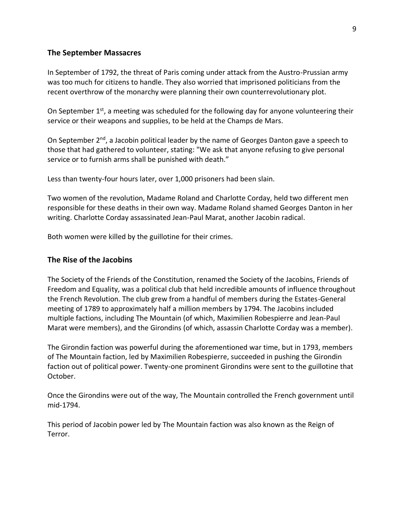#### <span id="page-8-0"></span>**The September Massacres**

In September of 1792, the threat of Paris coming under attack from the Austro-Prussian army was too much for citizens to handle. They also worried that imprisoned politicians from the recent overthrow of the monarchy were planning their own counterrevolutionary plot.

On September  $1^{st}$ , a meeting was scheduled for the following day for anyone volunteering their service or their weapons and supplies, to be held at the Champs de Mars.

On September  $2<sup>nd</sup>$ , a Jacobin political leader by the name of Georges Danton gave a speech to those that had gathered to volunteer, stating: "We ask that anyone refusing to give personal service or to furnish arms shall be punished with death."

Less than twenty-four hours later, over 1,000 prisoners had been slain.

Two women of the revolution, Madame Roland and Charlotte Corday, held two different men responsible for these deaths in their own way. Madame Roland shamed Georges Danton in her writing. Charlotte Corday assassinated Jean-Paul Marat, another Jacobin radical.

Both women were killed by the guillotine for their crimes.

#### <span id="page-8-1"></span>**The Rise of the Jacobins**

The Society of the Friends of the Constitution, renamed the Society of the Jacobins, Friends of Freedom and Equality, was a political club that held incredible amounts of influence throughout the French Revolution. The club grew from a handful of members during the Estates-General meeting of 1789 to approximately half a million members by 1794. The Jacobins included multiple factions, including The Mountain (of which, Maximilien Robespierre and Jean-Paul Marat were members), and the Girondins (of which, assassin Charlotte Corday was a member).

The Girondin faction was powerful during the aforementioned war time, but in 1793, members of The Mountain faction, led by Maximilien Robespierre, succeeded in pushing the Girondin faction out of political power. Twenty-one prominent Girondins were sent to the guillotine that October.

Once the Girondins were out of the way, The Mountain controlled the French government until mid-1794.

This period of Jacobin power led by The Mountain faction was also known as the Reign of Terror.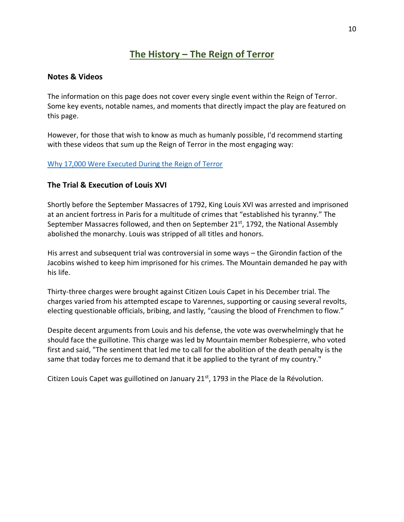## **The History – The Reign of Terror**

#### <span id="page-9-1"></span><span id="page-9-0"></span>**Notes & Videos**

The information on this page does not cover every single event within the Reign of Terror. Some key events, notable names, and moments that directly impact the play are featured on this page.

However, for those that wish to know as much as humanly possible, I'd recommend starting with these videos that sum up the Reign of Terror in the most engaging way:

#### [Why 17,000 Were Executed During the Reign of Terror](https://www.youtube.com/watch?v=z_nKkjHituo)

#### <span id="page-9-2"></span>**The Trial & Execution of Louis XVI**

Shortly before the September Massacres of 1792, King Louis XVI was arrested and imprisoned at an ancient fortress in Paris for a multitude of crimes that "established his tyranny." The September Massacres followed, and then on September  $21<sup>st</sup>$ , 1792, the National Assembly abolished the monarchy. Louis was stripped of all titles and honors.

His arrest and subsequent trial was controversial in some ways – the Girondin faction of the Jacobins wished to keep him imprisoned for his crimes. The Mountain demanded he pay with his life.

Thirty-three charges were brought against Citizen Louis Capet in his December trial. The charges varied from his attempted escape to Varennes, supporting or causing several revolts, electing questionable officials, bribing, and lastly, "causing the blood of Frenchmen to flow."

Despite decent arguments from Louis and his defense, the vote was overwhelmingly that he should face the guillotine. This charge was led by Mountain member Robespierre, who voted first and said, "The sentiment that led me to call for the abolition of the death penalty is the same that today forces me to demand that it be applied to the tyrant of my country."

Citizen Louis Capet was guillotined on January  $21<sup>st</sup>$ , 1793 in the Place de la Révolution.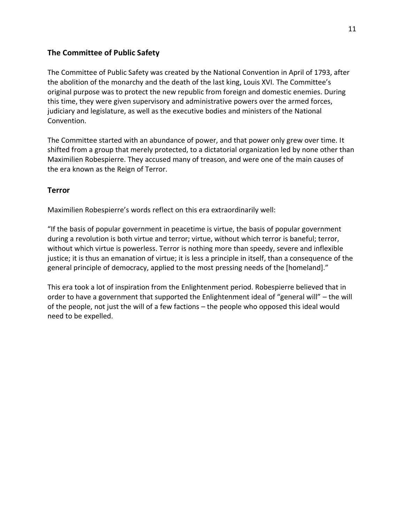#### <span id="page-10-0"></span>**The Committee of Public Safety**

The Committee of Public Safety was created by the National Convention in April of 1793, after the abolition of the monarchy and the death of the last king, Louis XVI. The Committee's original purpose was to protect the new republic from foreign and domestic enemies. During this time, they were given supervisory and administrative powers over the armed forces, judiciary and legislature, as well as the executive bodies and ministers of the National Convention.

The Committee started with an abundance of power, and that power only grew over time. It shifted from a group that merely protected, to a dictatorial organization led by none other than Maximilien Robespierre. They accused many of treason, and were one of the main causes of the era known as the Reign of Terror.

#### <span id="page-10-1"></span>**Terror**

Maximilien Robespierre's words reflect on this era extraordinarily well:

"If the basis of popular government in peacetime is virtue, the basis of popular government during a revolution is both virtue and terror; virtue, without which terror is baneful; terror, without which virtue is powerless. Terror is nothing more than speedy, severe and inflexible justice; it is thus an emanation of virtue; it is less a principle in itself, than a consequence of the general principle of democracy, applied to the most pressing needs of the [homeland]."

This era took a lot of inspiration from the Enlightenment period. Robespierre believed that in order to have a government that supported the Enlightenment ideal of "general will" – the will of the people, not just the will of a few factions – the people who opposed this ideal would need to be expelled.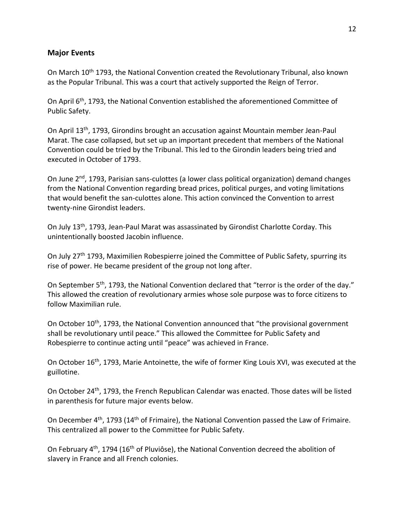#### <span id="page-11-0"></span>**Major Events**

On March 10th 1793, the National Convention created the Revolutionary Tribunal, also known as the Popular Tribunal. This was a court that actively supported the Reign of Terror.

On April 6<sup>th</sup>, 1793, the National Convention established the aforementioned Committee of Public Safety.

On April 13th, 1793, Girondins brought an accusation against Mountain member Jean-Paul Marat. The case collapsed, but set up an important precedent that members of the National Convention could be tried by the Tribunal. This led to the Girondin leaders being tried and executed in October of 1793.

On June 2<sup>nd</sup>, 1793, Parisian sans-culottes (a lower class political organization) demand changes from the National Convention regarding bread prices, political purges, and voting limitations that would benefit the san-culottes alone. This action convinced the Convention to arrest twenty-nine Girondist leaders.

On July 13th, 1793, Jean-Paul Marat was assassinated by Girondist Charlotte Corday. This unintentionally boosted Jacobin influence.

On July 27<sup>th</sup> 1793, Maximilien Robespierre joined the Committee of Public Safety, spurring its rise of power. He became president of the group not long after.

On September 5<sup>th</sup>, 1793, the National Convention declared that "terror is the order of the day." This allowed the creation of revolutionary armies whose sole purpose was to force citizens to follow Maximilian rule.

On October 10<sup>th</sup>, 1793, the National Convention announced that "the provisional government shall be revolutionary until peace." This allowed the Committee for Public Safety and Robespierre to continue acting until "peace" was achieved in France.

On October 16<sup>th</sup>, 1793, Marie Antoinette, the wife of former King Louis XVI, was executed at the guillotine.

On October 24<sup>th</sup>, 1793, the French Republican Calendar was enacted. Those dates will be listed in parenthesis for future major events below.

On December 4<sup>th</sup>, 1793 (14<sup>th</sup> of Frimaire), the National Convention passed the Law of Frimaire. This centralized all power to the Committee for Public Safety.

On February 4<sup>th</sup>, 1794 (16<sup>th</sup> of Pluviôse), the National Convention decreed the abolition of slavery in France and all French colonies.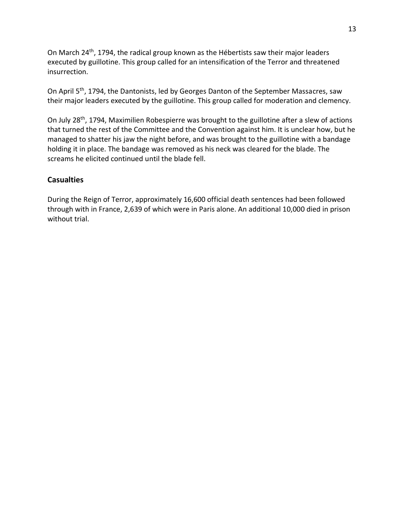On March 24<sup>th</sup>, 1794, the radical group known as the Hébertists saw their major leaders executed by guillotine. This group called for an intensification of the Terror and threatened insurrection.

On April 5<sup>th</sup>, 1794, the Dantonists, led by Georges Danton of the September Massacres, saw their major leaders executed by the guillotine. This group called for moderation and clemency.

On July 28<sup>th</sup>, 1794, Maximilien Robespierre was brought to the guillotine after a slew of actions that turned the rest of the Committee and the Convention against him. It is unclear how, but he managed to shatter his jaw the night before, and was brought to the guillotine with a bandage holding it in place. The bandage was removed as his neck was cleared for the blade. The screams he elicited continued until the blade fell.

#### <span id="page-12-0"></span>**Casualties**

During the Reign of Terror, approximately 16,600 official death sentences had been followed through with in France, 2,639 of which were in Paris alone. An additional 10,000 died in prison without trial.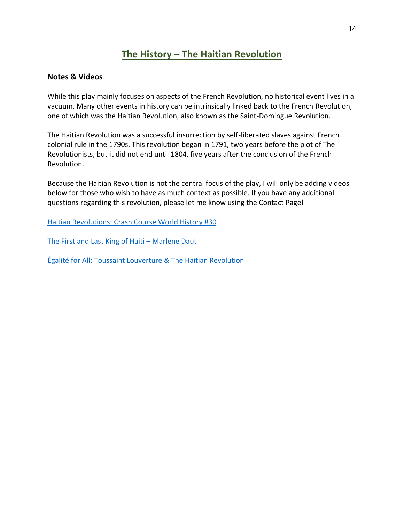## **The History – The Haitian Revolution**

#### <span id="page-13-1"></span><span id="page-13-0"></span>**Notes & Videos**

While this play mainly focuses on aspects of the French Revolution, no historical event lives in a vacuum. Many other events in history can be intrinsically linked back to the French Revolution, one of which was the Haitian Revolution, also known as the Saint-Domingue Revolution.

The Haitian Revolution was a successful insurrection by self-liberated slaves against French colonial rule in the 1790s. This revolution began in 1791, two years before the plot of The Revolutionists, but it did not end until 1804, five years after the conclusion of the French Revolution.

Because the Haitian Revolution is not the central focus of the play, I will only be adding videos below for those who wish to have as much context as possible. If you have any additional questions regarding this revolution, please let me know using the Contact Page!

[Haitian Revolutions: Crash Course World History #30](https://www.youtube.com/watch?v=5A_o-nU5s2U)

[The First and Last King of Haiti](https://www.youtube.com/watch?v=q7lfSjjMNU8) – Marlene Daut

[Égalité for All: Toussaint Louverture & The Haitian Revolution](https://www.youtube.com/watch?v=Sn32cWUT83E)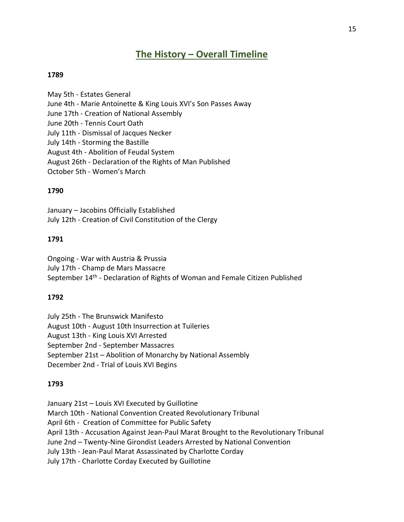## **The History – Overall Timeline**

#### <span id="page-14-0"></span>**1789**

May 5th - Estates General June 4th - Marie Antoinette & King Louis XVI's Son Passes Away June 17th - Creation of National Assembly June 20th - Tennis Court Oath July 11th - Dismissal of Jacques Necker July 14th - Storming the Bastille August 4th - Abolition of Feudal System August 26th - Declaration of the Rights of Man Published October 5th - Women's March

#### **1790**

January – Jacobins Officially Established July 12th - Creation of Civil Constitution of the Clergy

#### **1791**

Ongoing - War with Austria & Prussia July 17th - Champ de Mars Massacre September 14<sup>th</sup> - Declaration of Rights of Woman and Female Citizen Published

#### **1792**

July 25th - The Brunswick Manifesto August 10th - August 10th Insurrection at Tuileries August 13th - King Louis XVI Arrested September 2nd - September Massacres September 21st – Abolition of Monarchy by National Assembly December 2nd - Trial of Louis XVI Begins

#### **1793**

January 21st – Louis XVI Executed by Guillotine

March 10th - National Convention Created Revolutionary Tribunal

April 6th - Creation of Committee for Public Safety

April 13th - Accusation Against Jean-Paul Marat Brought to the Revolutionary Tribunal

June 2nd – Twenty-Nine Girondist Leaders Arrested by National Convention

July 13th - Jean-Paul Marat Assassinated by Charlotte Corday

July 17th - Charlotte Corday Executed by Guillotine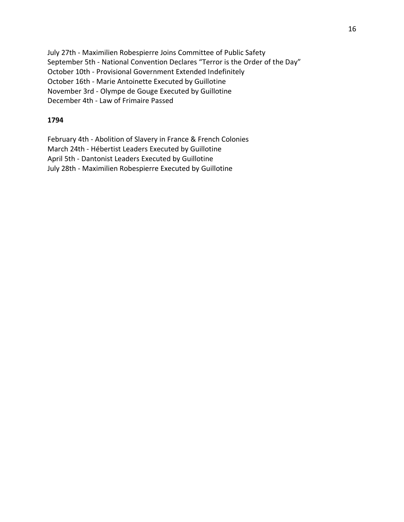July 27th - Maximilien Robespierre Joins Committee of Public Safety September 5th - National Convention Declares "Terror is the Order of the Day" October 10th - Provisional Government Extended Indefinitely October 16th - Marie Antoinette Executed by Guillotine November 3rd - Olympe de Gouge Executed by Guillotine December 4th - Law of Frimaire Passed

#### **1794**

February 4th - Abolition of Slavery in France & French Colonies March 24th - Hébertist Leaders Executed by Guillotine April 5th - Dantonist Leaders Executed by Guillotine July 28th - Maximilien Robespierre Executed by Guillotine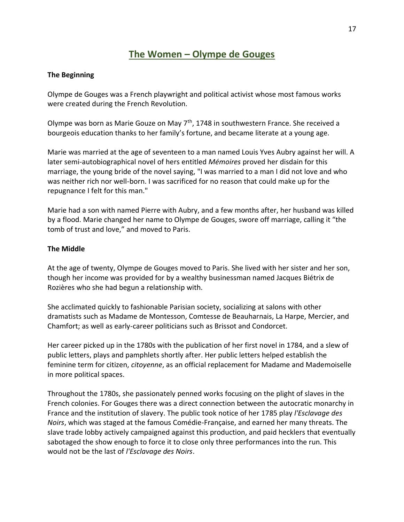## **The Women – Olympe de Gouges**

#### <span id="page-16-0"></span>**The Beginning**

Olympe de Gouges was a French playwright and political activist whose most famous works were created during the French Revolution.

Olympe was born as Marie Gouze on May  $7<sup>th</sup>$ , 1748 in southwestern France. She received a bourgeois education thanks to her family's fortune, and became literate at a young age.

Marie was married at the age of seventeen to a man named Louis Yves Aubry against her will. A later semi-autobiographical novel of hers entitled *Mémoires* proved her disdain for this marriage, the young bride of the novel saying, "I was married to a man I did not love and who was neither rich nor well-born. I was sacrificed for no reason that could make up for the repugnance I felt for this man."

Marie had a son with named Pierre with Aubry, and a few months after, her husband was killed by a flood. Marie changed her name to Olympe de Gouges, swore off marriage, calling it "the tomb of trust and love," and moved to Paris.

#### **The Middle**

At the age of twenty, Olympe de Gouges moved to Paris. She lived with her sister and her son, though her income was provided for by a wealthy businessman named Jacques Biétrix de Rozières who she had begun a relationship with.

She acclimated quickly to fashionable Parisian society, socializing at salons with other dramatists such as Madame de Montesson, Comtesse de Beauharnais, La Harpe, Mercier, and Chamfort; as well as early-career politicians such as Brissot and Condorcet.

Her career picked up in the 1780s with the publication of her first novel in 1784, and a slew of public letters, plays and pamphlets shortly after. Her public letters helped establish the feminine term for citizen, *citoyenne*, as an official replacement for Madame and Mademoiselle in more political spaces.

Throughout the 1780s, she passionately penned works focusing on the plight of slaves in the French colonies. For Gouges there was a direct connection between the autocratic monarchy in France and the institution of slavery. The public took notice of her 1785 play *l'Esclavage des Noirs*, which was staged at the famous Comédie-Française, and earned her many threats. The slave trade lobby actively campaigned against this production, and paid hecklers that eventually sabotaged the show enough to force it to close only three performances into the run. This would not be the last of *l'Esclavage des Noirs*.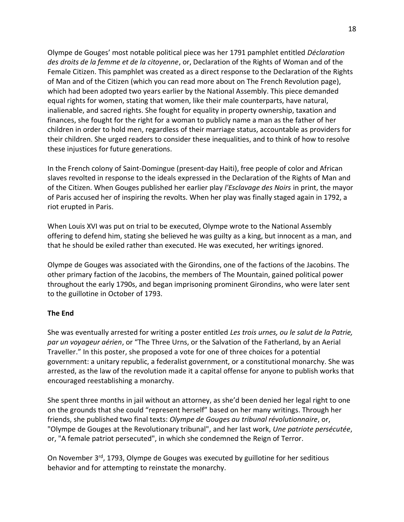Olympe de Gouges' most notable political piece was her 1791 pamphlet entitled *Déclaration des droits de la femme et de la citoyenne*, or, Declaration of the Rights of Woman and of the Female Citizen. This pamphlet was created as a direct response to the Declaration of the Rights of Man and of the Citizen (which you can read more about on The French Revolution page), which had been adopted two years earlier by the National Assembly. This piece demanded equal rights for women, stating that women, like their male counterparts, have natural, inalienable, and sacred rights. She fought for equality in property ownership, taxation and finances, she fought for the right for a woman to publicly name a man as the father of her children in order to hold men, regardless of their marriage status, accountable as providers for their children. She urged readers to consider these inequalities, and to think of how to resolve these injustices for future generations.

In the French colony of Saint-Domingue (present-day Haiti), free people of color and African slaves revolted in response to the ideals expressed in the Declaration of the Rights of Man and of the Citizen. When Gouges published her earlier play *l'Esclavage des Noirs* in print, the mayor of Paris accused her of inspiring the revolts. When her play was finally staged again in 1792, a riot erupted in Paris.

When Louis XVI was put on trial to be executed, Olympe wrote to the National Assembly offering to defend him, stating she believed he was guilty as a king, but innocent as a man, and that he should be exiled rather than executed. He was executed, her writings ignored.

Olympe de Gouges was associated with the Girondins, one of the factions of the Jacobins. The other primary faction of the Jacobins, the members of The Mountain, gained political power throughout the early 1790s, and began imprisoning prominent Girondins, who were later sent to the guillotine in October of 1793.

#### **The End**

She was eventually arrested for writing a poster entitled *Les trois urnes, ou le salut de la Patrie, par un voyageur aérien*, or "The Three Urns, or the Salvation of the Fatherland, by an Aerial Traveller." In this poster, she proposed a vote for one of three choices for a potential government: a unitary republic, a federalist government, or a constitutional monarchy. She was arrested, as the law of the revolution made it a capital offense for anyone to publish works that encouraged reestablishing a monarchy.

She spent three months in jail without an attorney, as she'd been denied her legal right to one on the grounds that she could "represent herself" based on her many writings. Through her friends, she published two final texts: *Olympe de Gouges au tribunal révolutionnaire*, or, "Olympe de Gouges at the Revolutionary tribunal", and her last work, *Une patriote persécutée*, or, "A female patriot persecuted", in which she condemned the Reign of Terror.

On November 3<sup>rd</sup>, 1793, Olympe de Gouges was executed by guillotine for her seditious behavior and for attempting to reinstate the monarchy.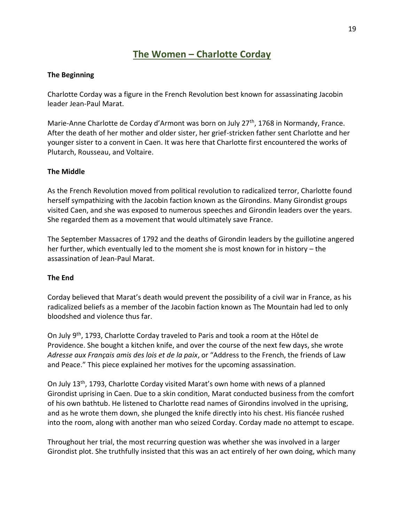## **The Women – Charlotte Corday**

#### <span id="page-18-0"></span>**The Beginning**

Charlotte Corday was a figure in the French Revolution best known for assassinating Jacobin leader Jean-Paul Marat.

Marie-Anne Charlotte de Corday d'Armont was born on July 27<sup>th</sup>, 1768 in Normandy, France. After the death of her mother and older sister, her grief-stricken father sent Charlotte and her younger sister to a convent in Caen. It was here that Charlotte first encountered the works of Plutarch, Rousseau, and Voltaire.

#### **The Middle**

As the French Revolution moved from political revolution to radicalized terror, Charlotte found herself sympathizing with the Jacobin faction known as the Girondins. Many Girondist groups visited Caen, and she was exposed to numerous speeches and Girondin leaders over the years. She regarded them as a movement that would ultimately save France.

The September Massacres of 1792 and the deaths of Girondin leaders by the guillotine angered her further, which eventually led to the moment she is most known for in history – the assassination of Jean-Paul Marat.

#### **The End**

Corday believed that Marat's death would prevent the possibility of a civil war in France, as his radicalized beliefs as a member of the Jacobin faction known as The Mountain had led to only bloodshed and violence thus far.

On July 9th, 1793, Charlotte Corday traveled to Paris and took a room at the Hôtel de Providence. She bought a kitchen knife, and over the course of the next few days, she wrote *Adresse aux Français amis des lois et de la paix*, or "Address to the French, the friends of Law and Peace." This piece explained her motives for the upcoming assassination.

On July 13th, 1793, Charlotte Corday visited Marat's own home with news of a planned Girondist uprising in Caen. Due to a skin condition, Marat conducted business from the comfort of his own bathtub. He listened to Charlotte read names of Girondins involved in the uprising, and as he wrote them down, she plunged the knife directly into his chest. His fiancée rushed into the room, along with another man who seized Corday. Corday made no attempt to escape.

Throughout her trial, the most recurring question was whether she was involved in a larger Girondist plot. She truthfully insisted that this was an act entirely of her own doing, which many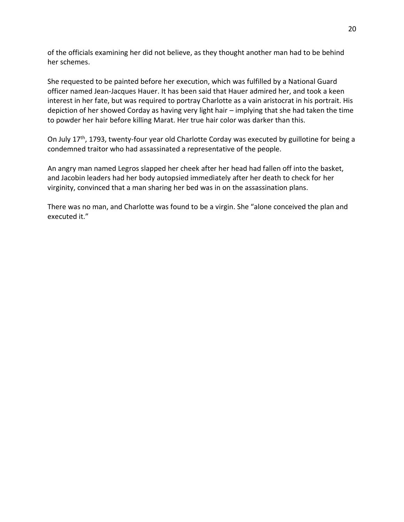of the officials examining her did not believe, as they thought another man had to be behind her schemes.

She requested to be painted before her execution, which was fulfilled by a National Guard officer named Jean-Jacques Hauer. It has been said that Hauer admired her, and took a keen interest in her fate, but was required to portray Charlotte as a vain aristocrat in his portrait. His depiction of her showed Corday as having very light hair – implying that she had taken the time to powder her hair before killing Marat. Her true hair color was darker than this.

On July 17<sup>th</sup>, 1793, twenty-four year old Charlotte Corday was executed by guillotine for being a condemned traitor who had assassinated a representative of the people.

An angry man named Legros slapped her cheek after her head had fallen off into the basket, and Jacobin leaders had her body autopsied immediately after her death to check for her virginity, convinced that a man sharing her bed was in on the assassination plans.

There was no man, and Charlotte was found to be a virgin. She "alone conceived the plan and executed it."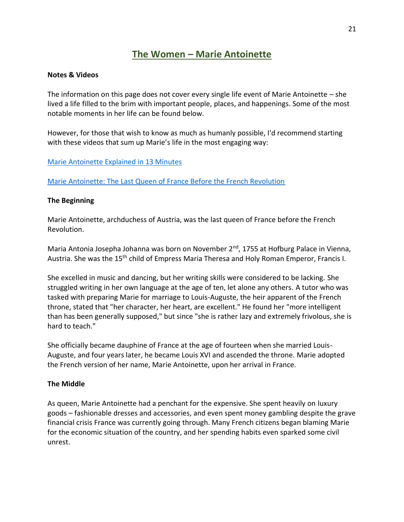## **The Women – Marie Antoinette**

#### <span id="page-20-0"></span>**Notes & Videos**

The information on this page does not cover every single life event of Marie Antoinette – she lived a life filled to the brim with important people, places, and happenings. Some of the most notable moments in her life can be found below.

However, for those that wish to know as much as humanly possible, I'd recommend starting with these videos that sum up Marie's life in the most engaging way:

#### [Marie Antoinette Explained in 13 Minutes](https://www.youtube.com/watch?v=Kxa3CFr5Jo0)

[Marie Antoinette: The Last Queen of France Before the French Revolution](https://www.youtube.com/watch?v=KqHacO7lQo0)

#### **The Beginning**

Marie Antoinette, archduchess of Austria, was the last queen of France before the French Revolution.

Maria Antonia Josepha Johanna was born on November 2<sup>nd</sup>, 1755 at Hofburg Palace in Vienna, Austria. She was the 15th child of Empress Maria Theresa and Holy Roman Emperor, Francis I.

She excelled in music and dancing, but her writing skills were considered to be lacking. She struggled writing in her own language at the age of ten, let alone any others. A tutor who was tasked with preparing Marie for marriage to Louis-Auguste, the heir apparent of the French throne, stated that "her character, her heart, are excellent." He found her "more intelligent than has been generally supposed," but since "she is rather lazy and extremely frivolous, she is hard to teach."

She officially became dauphine of France at the age of fourteen when she married Louis-Auguste, and four years later, he became Louis XVI and ascended the throne. Marie adopted the French version of her name, Marie Antoinette, upon her arrival in France.

#### **The Middle**

As queen, Marie Antoinette had a penchant for the expensive. She spent heavily on luxury goods – fashionable dresses and accessories, and even spent money gambling despite the grave financial crisis France was currently going through. Many French citizens began blaming Marie for the economic situation of the country, and her spending habits even sparked some civil unrest.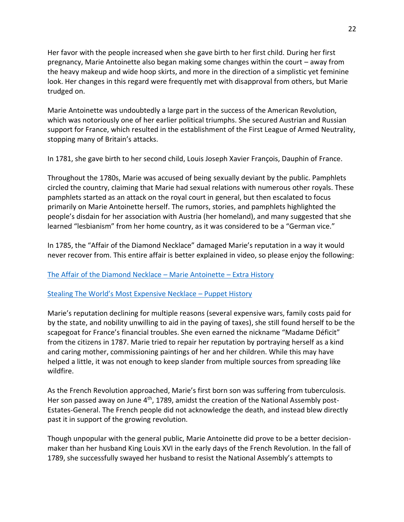Her favor with the people increased when she gave birth to her first child. During her first pregnancy, Marie Antoinette also began making some changes within the court – away from the heavy makeup and wide hoop skirts, and more in the direction of a simplistic yet feminine look. Her changes in this regard were frequently met with disapproval from others, but Marie trudged on.

Marie Antoinette was undoubtedly a large part in the success of the American Revolution, which was notoriously one of her earlier political triumphs. She secured Austrian and Russian support for France, which resulted in the establishment of the First League of Armed Neutrality, stopping many of Britain's attacks.

In 1781, she gave birth to her second child, Louis Joseph Xavier François, Dauphin of France.

Throughout the 1780s, Marie was accused of being sexually deviant by the public. Pamphlets circled the country, claiming that Marie had sexual relations with numerous other royals. These pamphlets started as an attack on the royal court in general, but then escalated to focus primarily on Marie Antoinette herself. The rumors, stories, and pamphlets highlighted the people's disdain for her association with Austria (her homeland), and many suggested that she learned "lesbianism" from her home country, as it was considered to be a "German vice."

In 1785, the "Affair of the Diamond Necklace" damaged Marie's reputation in a way it would never recover from. This entire affair is better explained in video, so please enjoy the following:

#### [The Affair of the Diamond Necklace](https://www.youtube.com/watch?v=aLU1wNntRa0) – Marie Antoinette – Extra History

#### [Stealing The World's Most Expensive Necklace –](https://www.youtube.com/watch?v=3u2FauOIPh8) Puppet History

Marie's reputation declining for multiple reasons (several expensive wars, family costs paid for by the state, and nobility unwilling to aid in the paying of taxes), she still found herself to be the scapegoat for France's financial troubles. She even earned the nickname "Madame Déficit" from the citizens in 1787. Marie tried to repair her reputation by portraying herself as a kind and caring mother, commissioning paintings of her and her children. While this may have helped a little, it was not enough to keep slander from multiple sources from spreading like wildfire.

As the French Revolution approached, Marie's first born son was suffering from tuberculosis. Her son passed away on June 4<sup>th</sup>, 1789, amidst the creation of the National Assembly post-Estates-General. The French people did not acknowledge the death, and instead blew directly past it in support of the growing revolution.

Though unpopular with the general public, Marie Antoinette did prove to be a better decisionmaker than her husband King Louis XVI in the early days of the French Revolution. In the fall of 1789, she successfully swayed her husband to resist the National Assembly's attempts to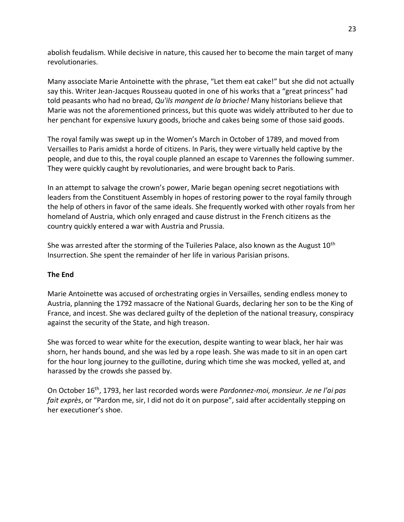abolish feudalism. While decisive in nature, this caused her to become the main target of many revolutionaries.

Many associate Marie Antoinette with the phrase, "Let them eat cake!" but she did not actually say this. Writer Jean-Jacques Rousseau quoted in one of his works that a "great princess" had told peasants who had no bread, *Qu'ils mangent de la brioche!* Many historians believe that Marie was not the aforementioned princess, but this quote was widely attributed to her due to her penchant for expensive luxury goods, brioche and cakes being some of those said goods.

The royal family was swept up in the Women's March in October of 1789, and moved from Versailles to Paris amidst a horde of citizens. In Paris, they were virtually held captive by the people, and due to this, the royal couple planned an escape to Varennes the following summer. They were quickly caught by revolutionaries, and were brought back to Paris.

In an attempt to salvage the crown's power, Marie began opening secret negotiations with leaders from the Constituent Assembly in hopes of restoring power to the royal family through the help of others in favor of the same ideals. She frequently worked with other royals from her homeland of Austria, which only enraged and cause distrust in the French citizens as the country quickly entered a war with Austria and Prussia.

She was arrested after the storming of the Tuileries Palace, also known as the August  $10<sup>th</sup>$ Insurrection. She spent the remainder of her life in various Parisian prisons.

#### **The End**

Marie Antoinette was accused of orchestrating orgies in Versailles, sending endless money to Austria, planning the 1792 massacre of the National Guards, declaring her son to be the King of France, and incest. She was declared guilty of the depletion of the national treasury, conspiracy against the security of the State, and high treason.

She was forced to wear white for the execution, despite wanting to wear black, her hair was shorn, her hands bound, and she was led by a rope leash. She was made to sit in an open cart for the hour long journey to the guillotine, during which time she was mocked, yelled at, and harassed by the crowds she passed by.

On October 16th, 1793, her last recorded words were *Pardonnez-moi, monsieur. Je ne l'ai pas fait exprès*, or "Pardon me, sir, I did not do it on purpose", said after accidentally stepping on her executioner's shoe.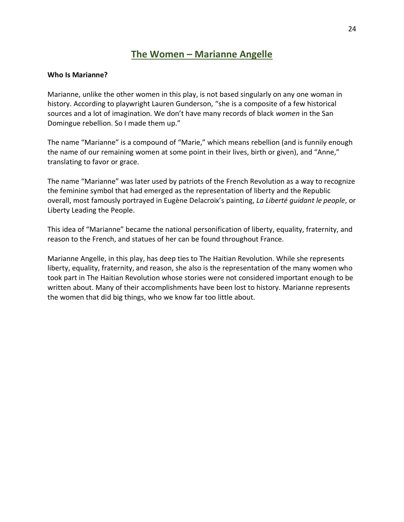## **The Women – Marianne Angelle**

#### <span id="page-23-0"></span>**Who Is Marianne?**

Marianne, unlike the other women in this play, is not based singularly on any one woman in history. According to playwright Lauren Gunderson, "she is a composite of a few historical sources and a lot of imagination. We don't have many records of black *women* in the San Domingue rebellion. So I made them up."

The name "Marianne" is a compound of "Marie," which means rebellion (and is funnily enough the name of our remaining women at some point in their lives, birth or given), and "Anne," translating to favor or grace.

The name "Marianne" was later used by patriots of the French Revolution as a way to recognize the feminine symbol that had emerged as the representation of liberty and the Republic overall, most famously portrayed in Eugène Delacroix's painting, *La Liberté guidant le people*, or Liberty Leading the People.

This idea of "Marianne" became the national personification of liberty, equality, fraternity, and reason to the French, and statues of her can be found throughout France.

Marianne Angelle, in this play, has deep ties to The Haitian Revolution. While she represents liberty, equality, fraternity, and reason, she also is the representation of the many women who took part in The Haitian Revolution whose stories were not considered important enough to be written about. Many of their accomplishments have been lost to history. Marianne represents the women that did big things, who we know far too little about.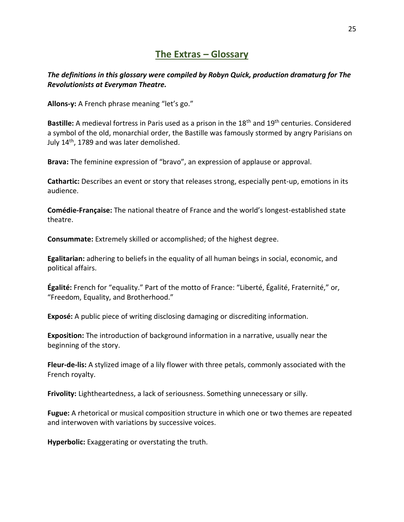### **The Extras – Glossary**

#### <span id="page-24-0"></span>*The definitions in this glossary were compiled by Robyn Quick, production dramaturg for The Revolutionists at Everyman Theatre.*

**Allons-y:** A French phrase meaning "let's go."

**Bastille:** A medieval fortress in Paris used as a prison in the 18th and 19th centuries. Considered a symbol of the old, monarchial order, the Bastille was famously stormed by angry Parisians on July 14th, 1789 and was later demolished.

**Brava:** The feminine expression of "bravo", an expression of applause or approval.

**Cathartic:** Describes an event or story that releases strong, especially pent-up, emotions in its audience.

**Comédie-Française:** The national theatre of France and the world's longest-established state theatre.

**Consummate:** Extremely skilled or accomplished; of the highest degree.

**Egalitarian:** adhering to beliefs in the equality of all human beings in social, economic, and political affairs.

**Égalité:** French for "equality." Part of the motto of France: "Liberté, Égalité, Fraternité," or, "Freedom, Equality, and Brotherhood."

**Exposé:** A public piece of writing disclosing damaging or discrediting information.

**Exposition:** The introduction of background information in a narrative, usually near the beginning of the story.

**Fleur-de-lis:** A stylized image of a lily flower with three petals, commonly associated with the French royalty.

**Frivolity:** Lightheartedness, a lack of seriousness. Something unnecessary or silly.

**Fugue:** A rhetorical or musical composition structure in which one or two themes are repeated and interwoven with variations by successive voices.

**Hyperbolic:** Exaggerating or overstating the truth.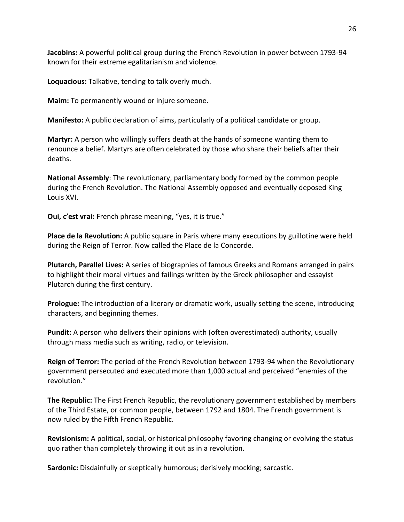**Jacobins:** A powerful political group during the French Revolution in power between 1793-94 known for their extreme egalitarianism and violence.

**Loquacious:** Talkative, tending to talk overly much.

**Maim:** To permanently wound or injure someone.

**Manifesto:** A public declaration of aims, particularly of a political candidate or group.

**Martyr:** A person who willingly suffers death at the hands of someone wanting them to renounce a belief. Martyrs are often celebrated by those who share their beliefs after their deaths.

**National Assembly**: The revolutionary, parliamentary body formed by the common people during the French Revolution. The National Assembly opposed and eventually deposed King Louis XVI.

**Oui, c'est vrai:** French phrase meaning, "yes, it is true."

**Place de la Revolution:** A public square in Paris where many executions by guillotine were held during the Reign of Terror. Now called the Place de la Concorde.

**Plutarch, Parallel Lives:** A series of biographies of famous Greeks and Romans arranged in pairs to highlight their moral virtues and failings written by the Greek philosopher and essayist Plutarch during the first century.

**Prologue:** The introduction of a literary or dramatic work, usually setting the scene, introducing characters, and beginning themes.

**Pundit:** A person who delivers their opinions with (often overestimated) authority, usually through mass media such as writing, radio, or television.

**Reign of Terror:** The period of the French Revolution between 1793-94 when the Revolutionary government persecuted and executed more than 1,000 actual and perceived "enemies of the revolution."

**The Republic:** The First French Republic, the revolutionary government established by members of the Third Estate, or common people, between 1792 and 1804. The French government is now ruled by the Fifth French Republic.

**Revisionism:** A political, social, or historical philosophy favoring changing or evolving the status quo rather than completely throwing it out as in a revolution.

**Sardonic:** Disdainfully or skeptically humorous; derisively mocking; sarcastic.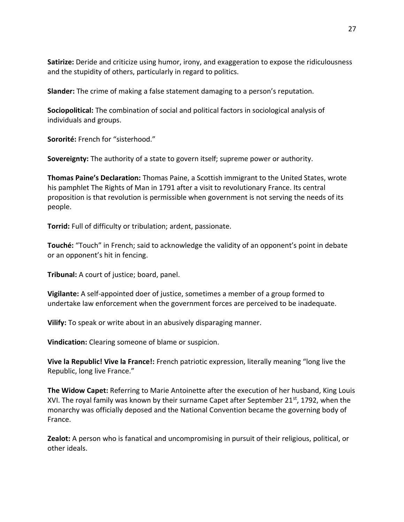**Satirize:** Deride and criticize using humor, irony, and exaggeration to expose the ridiculousness and the stupidity of others, particularly in regard to politics.

**Slander:** The crime of making a false statement damaging to a person's reputation.

**Sociopolitical:** The combination of social and political factors in sociological analysis of individuals and groups.

**Sororité:** French for "sisterhood."

**Sovereignty:** The authority of a state to govern itself; supreme power or authority.

**Thomas Paine's Declaration:** Thomas Paine, a Scottish immigrant to the United States, wrote his pamphlet The Rights of Man in 1791 after a visit to revolutionary France. Its central proposition is that revolution is permissible when government is not serving the needs of its people.

**Torrid:** Full of difficulty or tribulation; ardent, passionate.

**Touché:** "Touch" in French; said to acknowledge the validity of an opponent's point in debate or an opponent's hit in fencing.

**Tribunal:** A court of justice; board, panel.

**Vigilante:** A self-appointed doer of justice, sometimes a member of a group formed to undertake law enforcement when the government forces are perceived to be inadequate.

**Vilify:** To speak or write about in an abusively disparaging manner.

**Vindication:** Clearing someone of blame or suspicion.

**Vive la Republic! Vive la France!:** French patriotic expression, literally meaning "long live the Republic, long live France."

**The Widow Capet:** Referring to Marie Antoinette after the execution of her husband, King Louis XVI. The royal family was known by their surname Capet after September 21st, 1792, when the monarchy was officially deposed and the National Convention became the governing body of France.

**Zealot:** A person who is fanatical and uncompromising in pursuit of their religious, political, or other ideals.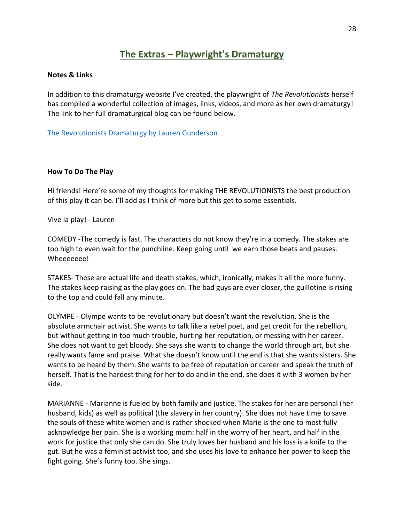## **The Extras – Playwright's Dramaturgy**

#### <span id="page-27-0"></span>**Notes & Links**

In addition to this dramaturgy website I've created, the playwright of *The Revolutionists* herself has compiled a wonderful collection of images, links, videos, and more as her own dramaturgy! The link to her full dramaturgical blog can be found below.

[The Revolutionists Dramaturgy by Lauren Gunderson](https://therevolutionists.tumblr.com/)

#### **How To Do The Play**

Hi friends! Here're some of my thoughts for making THE REVOLUTIONISTS the best production of this play it can be. I'll add as I think of more but this get to some essentials.

Vive la play! - Lauren

COMEDY -The comedy is fast. The characters do not know they're in a comedy. The stakes are too high to even wait for the punchline. Keep going until we earn those beats and pauses. Wheeeeeee!

STAKES- These are actual life and death stakes, which, ironically, makes it all the more funny. The stakes keep raising as the play goes on. The bad guys are ever closer, the guillotine is rising to the top and could fall any minute.

OLYMPE - Olympe wants to be revolutionary but doesn't want the revolution. She is the absolute armchair activist. She wants to talk like a rebel poet, and get credit for the rebellion, but without getting in too much trouble, hurting her reputation, or messing with her career. She does not want to get bloody. She says she wants to change the world through art, but she really wants fame and praise. What she doesn't know until the end is that she wants sisters. She wants to be heard by them. She wants to be free of reputation or career and speak the truth of herself. That is the hardest thing for her to do and in the end, she does it with 3 women by her side.

MARIANNE - Marianne is fueled by both family and justice. The stakes for her are personal (her husband, kids) as well as political (the slavery in her country). She does not have time to save the souls of these white women and is rather shocked when Marie is the one to most fully acknowledge her pain. She is a working mom: half in the worry of her heart, and half in the work for justice that only she can do. She truly loves her husband and his loss is a knife to the gut. But he was a feminist activist too, and she uses his love to enhance her power to keep the fight going. She's funny too. She sings.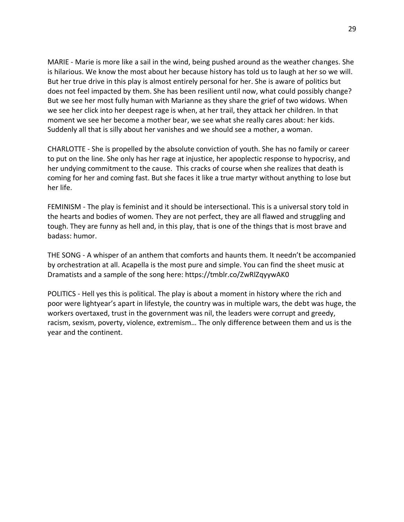MARIE - Marie is more like a sail in the wind, being pushed around as the weather changes. She is hilarious. We know the most about her because history has told us to laugh at her so we will. But her true drive in this play is almost entirely personal for her. She is aware of politics but does not feel impacted by them. She has been resilient until now, what could possibly change? But we see her most fully human with Marianne as they share the grief of two widows. When we see her click into her deepest rage is when, at her trail, they attack her children. In that moment we see her become a mother bear, we see what she really cares about: her kids. Suddenly all that is silly about her vanishes and we should see a mother, a woman.

CHARLOTTE - She is propelled by the absolute conviction of youth. She has no family or career to put on the line. She only has her rage at injustice, her apoplectic response to hypocrisy, and her undying commitment to the cause. This cracks of course when she realizes that death is coming for her and coming fast. But she faces it like a true martyr without anything to lose but her life.

FEMINISM - The play is feminist and it should be intersectional. This is a universal story told in the hearts and bodies of women. They are not perfect, they are all flawed and struggling and tough. They are funny as hell and, in this play, that is one of the things that is most brave and badass: humor.

THE SONG - A whisper of an anthem that comforts and haunts them. It needn't be accompanied by orchestration at all. Acapella is the most pure and simple. You can find the sheet music at Dramatists and a sample of the song here: https://tmblr.co/ZwRlZqyywAK0

POLITICS - Hell yes this is political. The play is about a moment in history where the rich and poor were lightyear's apart in lifestyle, the country was in multiple wars, the debt was huge, the workers overtaxed, trust in the government was nil, the leaders were corrupt and greedy, racism, sexism, poverty, violence, extremism… The only difference between them and us is the year and the continent.